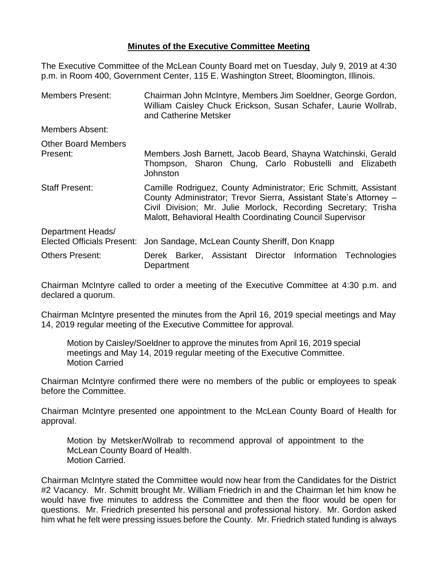## **Minutes of the Executive Committee Meeting**

The Executive Committee of the McLean County Board met on Tuesday, July 9, 2019 at 4:30 p.m. in Room 400, Government Center, 115 E. Washington Street, Bloomington, Illinois.

| <b>Members Present:</b>                                | Chairman John McIntyre, Members Jim Soeldner, George Gordon,<br>William Caisley Chuck Erickson, Susan Schafer, Laurie Wollrab,<br>and Catherine Metsker                                                                                                              |  |  |
|--------------------------------------------------------|----------------------------------------------------------------------------------------------------------------------------------------------------------------------------------------------------------------------------------------------------------------------|--|--|
| Members Absent:                                        |                                                                                                                                                                                                                                                                      |  |  |
| <b>Other Board Members</b><br>Present:                 | Members Josh Barnett, Jacob Beard, Shayna Watchinski, Gerald<br>Thompson, Sharon Chung, Carlo Robustelli and Elizabeth<br><b>Johnston</b>                                                                                                                            |  |  |
| <b>Staff Present:</b>                                  | Camille Rodriguez, County Administrator; Eric Schmitt, Assistant<br>County Administrator; Trevor Sierra, Assistant State's Attorney -<br>Civil Division; Mr. Julie Morlock, Recording Secretary; Trisha<br>Malott, Behavioral Health Coordinating Council Supervisor |  |  |
| Department Heads/<br><b>Elected Officials Present:</b> | Jon Sandage, McLean County Sheriff, Don Knapp                                                                                                                                                                                                                        |  |  |
| <b>Others Present:</b>                                 | Derek Barker, Assistant Director Information Technologies<br>Department                                                                                                                                                                                              |  |  |

Chairman McIntyre called to order a meeting of the Executive Committee at 4:30 p.m. and declared a quorum.

Chairman McIntyre presented the minutes from the April 16, 2019 special meetings and May 14, 2019 regular meeting of the Executive Committee for approval.

Motion by Caisley/Soeldner to approve the minutes from April 16, 2019 special meetings and May 14, 2019 regular meeting of the Executive Committee. Motion Carried

Chairman McIntyre confirmed there were no members of the public or employees to speak before the Committee.

Chairman McIntyre presented one appointment to the McLean County Board of Health for approval.

Motion by Metsker/Wollrab to recommend approval of appointment to the McLean County Board of Health. Motion Carried.

Chairman McIntyre stated the Committee would now hear from the Candidates for the District #2 Vacancy. Mr. Schmitt brought Mr. William Friedrich in and the Chairman let him know he would have five minutes to address the Committee and then the floor would be open for questions. Mr. Friedrich presented his personal and professional history. Mr. Gordon asked him what he felt were pressing issues before the County. Mr. Friedrich stated funding is always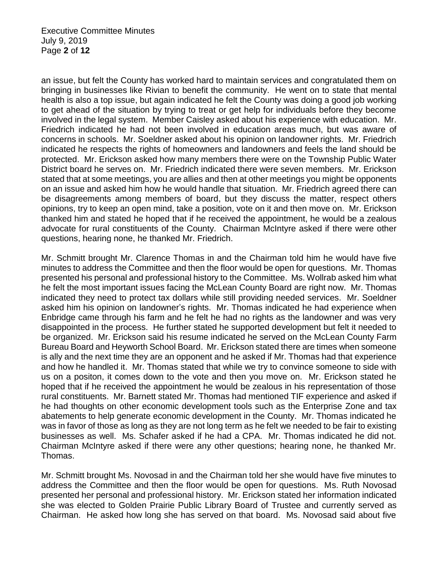an issue, but felt the County has worked hard to maintain services and congratulated them on bringing in businesses like Rivian to benefit the community. He went on to state that mental health is also a top issue, but again indicated he felt the County was doing a good job working to get ahead of the situation by trying to treat or get help for individuals before they become involved in the legal system. Member Caisley asked about his experience with education. Mr. Friedrich indicated he had not been involved in education areas much, but was aware of concerns in schools. Mr. Soeldner asked about his opinion on landowner rights. Mr. Friedrich indicated he respects the rights of homeowners and landowners and feels the land should be protected. Mr. Erickson asked how many members there were on the Township Public Water District board he serves on. Mr. Friedrich indicated there were seven members. Mr. Erickson stated that at some meetings, you are allies and then at other meetings you might be opponents on an issue and asked him how he would handle that situation. Mr. Friedrich agreed there can be disagreements among members of board, but they discuss the matter, respect others opinions, try to keep an open mind, take a position, vote on it and then move on. Mr. Erickson thanked him and stated he hoped that if he received the appointment, he would be a zealous advocate for rural constituents of the County. Chairman McIntyre asked if there were other questions, hearing none, he thanked Mr. Friedrich.

Mr. Schmitt brought Mr. Clarence Thomas in and the Chairman told him he would have five minutes to address the Committee and then the floor would be open for questions. Mr. Thomas presented his personal and professional history to the Committee. Ms. Wollrab asked him what he felt the most important issues facing the McLean County Board are right now. Mr. Thomas indicated they need to protect tax dollars while still providing needed services. Mr. Soeldner asked him his opinion on landowner's rights. Mr. Thomas indicated he had experience when Enbridge came through his farm and he felt he had no rights as the landowner and was very disappointed in the process. He further stated he supported development but felt it needed to be organized. Mr. Erickson said his resume indicated he served on the McLean County Farm Bureau Board and Heyworth School Board. Mr. Erickson stated there are times when someone is ally and the next time they are an opponent and he asked if Mr. Thomas had that experience and how he handled it. Mr. Thomas stated that while we try to convince someone to side with us on a positon, it comes down to the vote and then you move on. Mr. Erickson stated he hoped that if he received the appointment he would be zealous in his representation of those rural constituents. Mr. Barnett stated Mr. Thomas had mentioned TIF experience and asked if he had thoughts on other economic development tools such as the Enterprise Zone and tax abatements to help generate economic development in the County. Mr. Thomas indicated he was in favor of those as long as they are not long term as he felt we needed to be fair to existing businesses as well. Ms. Schafer asked if he had a CPA. Mr. Thomas indicated he did not. Chairman McIntyre asked if there were any other questions; hearing none, he thanked Mr. Thomas.

Mr. Schmitt brought Ms. Novosad in and the Chairman told her she would have five minutes to address the Committee and then the floor would be open for questions. Ms. Ruth Novosad presented her personal and professional history. Mr. Erickson stated her information indicated she was elected to Golden Prairie Public Library Board of Trustee and currently served as Chairman. He asked how long she has served on that board. Ms. Novosad said about five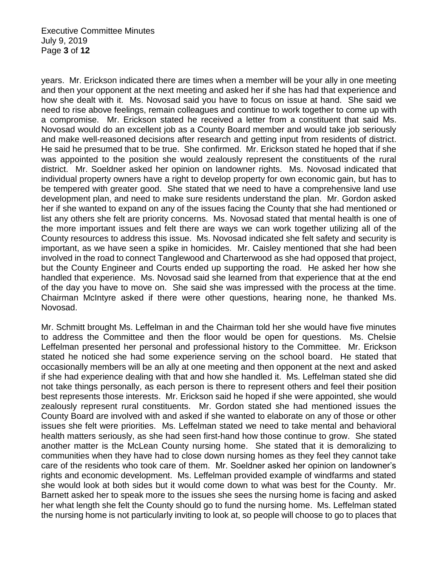years. Mr. Erickson indicated there are times when a member will be your ally in one meeting and then your opponent at the next meeting and asked her if she has had that experience and how she dealt with it. Ms. Novosad said you have to focus on issue at hand. She said we need to rise above feelings, remain colleagues and continue to work together to come up with a compromise. Mr. Erickson stated he received a letter from a constituent that said Ms. Novosad would do an excellent job as a County Board member and would take job seriously and make well-reasoned decisions after research and getting input from residents of district. He said he presumed that to be true. She confirmed. Mr. Erickson stated he hoped that if she was appointed to the position she would zealously represent the constituents of the rural district. Mr. Soeldner asked her opinion on landowner rights. Ms. Novosad indicated that individual property owners have a right to develop property for own economic gain, but has to be tempered with greater good. She stated that we need to have a comprehensive land use development plan, and need to make sure residents understand the plan. Mr. Gordon asked her if she wanted to expand on any of the issues facing the County that she had mentioned or list any others she felt are priority concerns. Ms. Novosad stated that mental health is one of the more important issues and felt there are ways we can work together utilizing all of the County resources to address this issue. Ms. Novosad indicated she felt safety and security is important, as we have seen a spike in homicides. Mr. Caisley mentioned that she had been involved in the road to connect Tanglewood and Charterwood as she had opposed that project, but the County Engineer and Courts ended up supporting the road. He asked her how she handled that experience. Ms. Novosad said she learned from that experience that at the end of the day you have to move on. She said she was impressed with the process at the time. Chairman McIntyre asked if there were other questions, hearing none, he thanked Ms. Novosad.

Mr. Schmitt brought Ms. Leffelman in and the Chairman told her she would have five minutes to address the Committee and then the floor would be open for questions. Ms. Chelsie Leffelman presented her personal and professional history to the Committee. Mr. Erickson stated he noticed she had some experience serving on the school board. He stated that occasionally members will be an ally at one meeting and then opponent at the next and asked if she had experience dealing with that and how she handled it. Ms. Leffelman stated she did not take things personally, as each person is there to represent others and feel their position best represents those interests. Mr. Erickson said he hoped if she were appointed, she would zealously represent rural constituents. Mr. Gordon stated she had mentioned issues the County Board are involved with and asked if she wanted to elaborate on any of those or other issues she felt were priorities. Ms. Leffelman stated we need to take mental and behavioral health matters seriously, as she had seen first-hand how those continue to grow. She stated another matter is the McLean County nursing home. She stated that it is demoralizing to communities when they have had to close down nursing homes as they feel they cannot take care of the residents who took care of them. Mr. Soeldner asked her opinion on landowner's rights and economic development. Ms. Leffelman provided example of windfarms and stated she would look at both sides but it would come down to what was best for the County. Mr. Barnett asked her to speak more to the issues she sees the nursing home is facing and asked her what length she felt the County should go to fund the nursing home. Ms. Leffelman stated the nursing home is not particularly inviting to look at, so people will choose to go to places that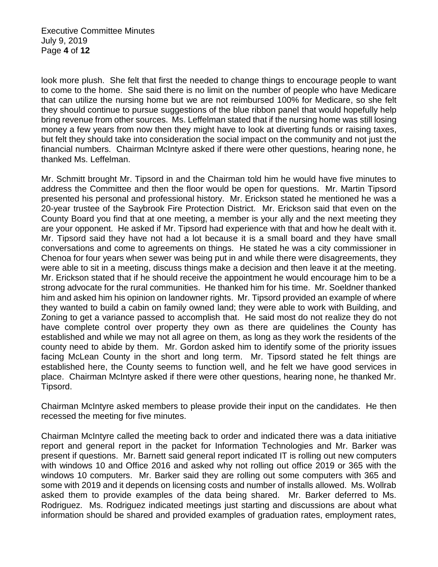Executive Committee Minutes July 9, 2019 Page **4** of **12**

look more plush. She felt that first the needed to change things to encourage people to want to come to the home. She said there is no limit on the number of people who have Medicare that can utilize the nursing home but we are not reimbursed 100% for Medicare, so she felt they should continue to pursue suggestions of the blue ribbon panel that would hopefully help bring revenue from other sources. Ms. Leffelman stated that if the nursing home was still losing money a few years from now then they might have to look at diverting funds or raising taxes, but felt they should take into consideration the social impact on the community and not just the financial numbers. Chairman McIntyre asked if there were other questions, hearing none, he thanked Ms. Leffelman.

Mr. Schmitt brought Mr. Tipsord in and the Chairman told him he would have five minutes to address the Committee and then the floor would be open for questions. Mr. Martin Tipsord presented his personal and professional history. Mr. Erickson stated he mentioned he was a 20-year trustee of the Saybrook Fire Protection District. Mr. Erickson said that even on the County Board you find that at one meeting, a member is your ally and the next meeting they are your opponent. He asked if Mr. Tipsord had experience with that and how he dealt with it. Mr. Tipsord said they have not had a lot because it is a small board and they have small conversations and come to agreements on things. He stated he was a city commissioner in Chenoa for four years when sewer was being put in and while there were disagreements, they were able to sit in a meeting, discuss things make a decision and then leave it at the meeting. Mr. Erickson stated that if he should receive the appointment he would encourage him to be a strong advocate for the rural communities. He thanked him for his time. Mr. Soeldner thanked him and asked him his opinion on landowner rights. Mr. Tipsord provided an example of where they wanted to build a cabin on family owned land; they were able to work with Building, and Zoning to get a variance passed to accomplish that. He said most do not realize they do not have complete control over property they own as there are quidelines the County has established and while we may not all agree on them, as long as they work the residents of the county need to abide by them. Mr. Gordon asked him to identify some of the priority issues facing McLean County in the short and long term. Mr. Tipsord stated he felt things are established here, the County seems to function well, and he felt we have good services in place. Chairman McIntyre asked if there were other questions, hearing none, he thanked Mr. Tipsord.

Chairman McIntyre asked members to please provide their input on the candidates. He then recessed the meeting for five minutes.

Chairman McIntyre called the meeting back to order and indicated there was a data initiative report and general report in the packet for Information Technologies and Mr. Barker was present if questions. Mr. Barnett said general report indicated IT is rolling out new computers with windows 10 and Office 2016 and asked why not rolling out office 2019 or 365 with the windows 10 computers. Mr. Barker said they are rolling out some computers with 365 and some with 2019 and it depends on licensing costs and number of installs allowed. Ms. Wollrab asked them to provide examples of the data being shared. Mr. Barker deferred to Ms. Rodriguez. Ms. Rodriguez indicated meetings just starting and discussions are about what information should be shared and provided examples of graduation rates, employment rates,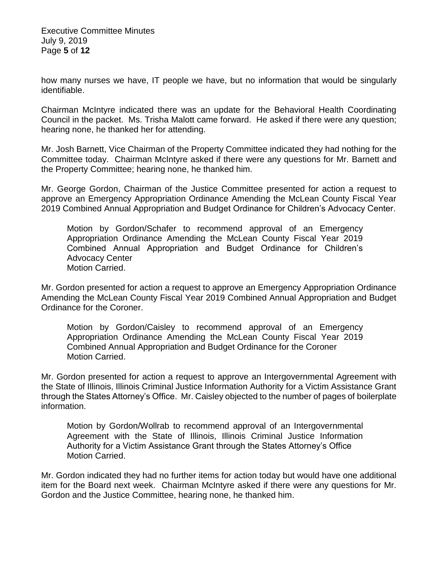Executive Committee Minutes July 9, 2019 Page **5** of **12**

how many nurses we have, IT people we have, but no information that would be singularly identifiable.

Chairman McIntyre indicated there was an update for the Behavioral Health Coordinating Council in the packet. Ms. Trisha Malott came forward. He asked if there were any question; hearing none, he thanked her for attending.

Mr. Josh Barnett, Vice Chairman of the Property Committee indicated they had nothing for the Committee today. Chairman McIntyre asked if there were any questions for Mr. Barnett and the Property Committee; hearing none, he thanked him.

Mr. George Gordon, Chairman of the Justice Committee presented for action a request to approve an Emergency Appropriation Ordinance Amending the McLean County Fiscal Year 2019 Combined Annual Appropriation and Budget Ordinance for Children's Advocacy Center.

Motion by Gordon/Schafer to recommend approval of an Emergency Appropriation Ordinance Amending the McLean County Fiscal Year 2019 Combined Annual Appropriation and Budget Ordinance for Children's Advocacy Center Motion Carried.

Mr. Gordon presented for action a request to approve an Emergency Appropriation Ordinance Amending the McLean County Fiscal Year 2019 Combined Annual Appropriation and Budget Ordinance for the Coroner.

Motion by Gordon/Caisley to recommend approval of an Emergency Appropriation Ordinance Amending the McLean County Fiscal Year 2019 Combined Annual Appropriation and Budget Ordinance for the Coroner Motion Carried.

Mr. Gordon presented for action a request to approve an Intergovernmental Agreement with the State of Illinois, Illinois Criminal Justice Information Authority for a Victim Assistance Grant through the States Attorney's Office. Mr. Caisley objected to the number of pages of boilerplate information.

Motion by Gordon/Wollrab to recommend approval of an Intergovernmental Agreement with the State of Illinois, Illinois Criminal Justice Information Authority for a Victim Assistance Grant through the States Attorney's Office Motion Carried.

Mr. Gordon indicated they had no further items for action today but would have one additional item for the Board next week. Chairman McIntyre asked if there were any questions for Mr. Gordon and the Justice Committee, hearing none, he thanked him.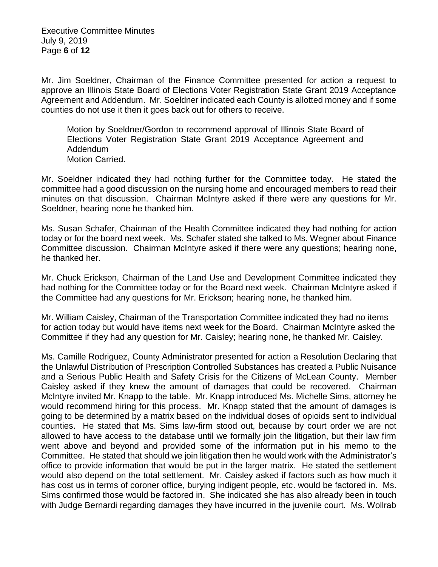Executive Committee Minutes July 9, 2019 Page **6** of **12**

Mr. Jim Soeldner, Chairman of the Finance Committee presented for action a request to approve an Illinois State Board of Elections Voter Registration State Grant 2019 Acceptance Agreement and Addendum. Mr. Soeldner indicated each County is allotted money and if some counties do not use it then it goes back out for others to receive.

Motion by Soeldner/Gordon to recommend approval of Illinois State Board of Elections Voter Registration State Grant 2019 Acceptance Agreement and Addendum Motion Carried.

Mr. Soeldner indicated they had nothing further for the Committee today. He stated the committee had a good discussion on the nursing home and encouraged members to read their minutes on that discussion. Chairman McIntyre asked if there were any questions for Mr. Soeldner, hearing none he thanked him.

Ms. Susan Schafer, Chairman of the Health Committee indicated they had nothing for action today or for the board next week. Ms. Schafer stated she talked to Ms. Wegner about Finance Committee discussion. Chairman McIntyre asked if there were any questions; hearing none, he thanked her.

Mr. Chuck Erickson, Chairman of the Land Use and Development Committee indicated they had nothing for the Committee today or for the Board next week. Chairman McIntyre asked if the Committee had any questions for Mr. Erickson; hearing none, he thanked him.

Mr. William Caisley, Chairman of the Transportation Committee indicated they had no items for action today but would have items next week for the Board. Chairman McIntyre asked the Committee if they had any question for Mr. Caisley; hearing none, he thanked Mr. Caisley.

Ms. Camille Rodriguez, County Administrator presented for action a Resolution Declaring that the Unlawful Distribution of Prescription Controlled Substances has created a Public Nuisance and a Serious Public Health and Safety Crisis for the Citizens of McLean County. Member Caisley asked if they knew the amount of damages that could be recovered. Chairman McIntyre invited Mr. Knapp to the table. Mr. Knapp introduced Ms. Michelle Sims, attorney he would recommend hiring for this process. Mr. Knapp stated that the amount of damages is going to be determined by a matrix based on the individual doses of opioids sent to individual counties. He stated that Ms. Sims law-firm stood out, because by court order we are not allowed to have access to the database until we formally join the litigation, but their law firm went above and beyond and provided some of the information put in his memo to the Committee. He stated that should we join litigation then he would work with the Administrator's office to provide information that would be put in the larger matrix. He stated the settlement would also depend on the total settlement. Mr. Caisley asked if factors such as how much it has cost us in terms of coroner office, burying indigent people, etc. would be factored in. Ms. Sims confirmed those would be factored in. She indicated she has also already been in touch with Judge Bernardi regarding damages they have incurred in the juvenile court. Ms. Wollrab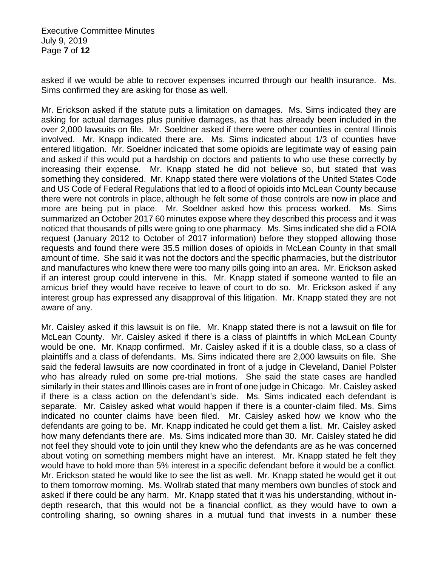Executive Committee Minutes July 9, 2019 Page **7** of **12**

asked if we would be able to recover expenses incurred through our health insurance. Ms. Sims confirmed they are asking for those as well.

Mr. Erickson asked if the statute puts a limitation on damages. Ms. Sims indicated they are asking for actual damages plus punitive damages, as that has already been included in the over 2,000 lawsuits on file. Mr. Soeldner asked if there were other counties in central Illinois involved. Mr. Knapp indicated there are. Ms. Sims indicated about 1/3 of counties have entered litigation. Mr. Soeldner indicated that some opioids are legitimate way of easing pain and asked if this would put a hardship on doctors and patients to who use these correctly by increasing their expense. Mr. Knapp stated he did not believe so, but stated that was something they considered. Mr. Knapp stated there were violations of the United States Code and US Code of Federal Regulations that led to a flood of opioids into McLean County because there were not controls in place, although he felt some of those controls are now in place and more are being put in place. Mr. Soeldner asked how this process worked. Ms. Sims summarized an October 2017 60 minutes expose where they described this process and it was noticed that thousands of pills were going to one pharmacy. Ms. Sims indicated she did a FOIA request (January 2012 to October of 2017 information) before they stopped allowing those requests and found there were 35.5 million doses of opioids in McLean County in that small amount of time. She said it was not the doctors and the specific pharmacies, but the distributor and manufactures who knew there were too many pills going into an area. Mr. Erickson asked if an interest group could intervene in this. Mr. Knapp stated if someone wanted to file an amicus brief they would have receive to leave of court to do so. Mr. Erickson asked if any interest group has expressed any disapproval of this litigation. Mr. Knapp stated they are not aware of any.

Mr. Caisley asked if this lawsuit is on file. Mr. Knapp stated there is not a lawsuit on file for McLean County. Mr. Caisley asked if there is a class of plaintiffs in which McLean County would be one. Mr. Knapp confirmed. Mr. Caisley asked if it is a double class, so a class of plaintiffs and a class of defendants. Ms. Sims indicated there are 2,000 lawsuits on file. She said the federal lawsuits are now coordinated in front of a judge in Cleveland, Daniel Polster who has already ruled on some pre-trial motions. She said the state cases are handled similarly in their states and Illinois cases are in front of one judge in Chicago. Mr. Caisley asked if there is a class action on the defendant's side. Ms. Sims indicated each defendant is separate. Mr. Caisley asked what would happen if there is a counter-claim filed. Ms. Sims indicated no counter claims have been filed. Mr. Caisley asked how we know who the defendants are going to be. Mr. Knapp indicated he could get them a list. Mr. Caisley asked how many defendants there are. Ms. Sims indicated more than 30. Mr. Caisley stated he did not feel they should vote to join until they knew who the defendants are as he was concerned about voting on something members might have an interest. Mr. Knapp stated he felt they would have to hold more than 5% interest in a specific defendant before it would be a conflict. Mr. Erickson stated he would like to see the list as well. Mr. Knapp stated he would get it out to them tomorrow morning. Ms. Wollrab stated that many members own bundles of stock and asked if there could be any harm. Mr. Knapp stated that it was his understanding, without indepth research, that this would not be a financial conflict, as they would have to own a controlling sharing, so owning shares in a mutual fund that invests in a number these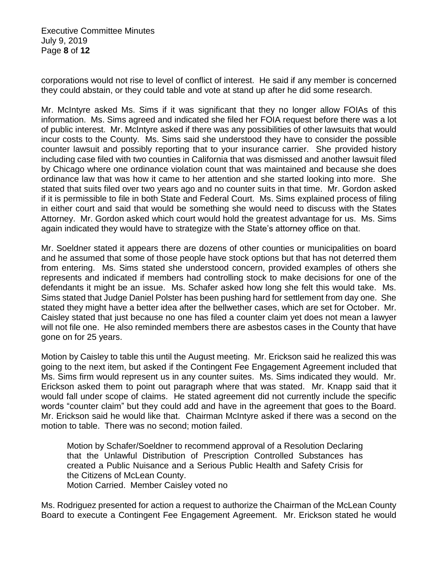Executive Committee Minutes July 9, 2019 Page **8** of **12**

corporations would not rise to level of conflict of interest. He said if any member is concerned they could abstain, or they could table and vote at stand up after he did some research.

Mr. McIntyre asked Ms. Sims if it was significant that they no longer allow FOIAs of this information. Ms. Sims agreed and indicated she filed her FOIA request before there was a lot of public interest. Mr. McIntyre asked if there was any possibilities of other lawsuits that would incur costs to the County. Ms. Sims said she understood they have to consider the possible counter lawsuit and possibly reporting that to your insurance carrier. She provided history including case filed with two counties in California that was dismissed and another lawsuit filed by Chicago where one ordinance violation count that was maintained and because she does ordinance law that was how it came to her attention and she started looking into more. She stated that suits filed over two years ago and no counter suits in that time. Mr. Gordon asked if it is permissible to file in both State and Federal Court. Ms. Sims explained process of filing in either court and said that would be something she would need to discuss with the States Attorney. Mr. Gordon asked which court would hold the greatest advantage for us. Ms. Sims again indicated they would have to strategize with the State's attorney office on that.

Mr. Soeldner stated it appears there are dozens of other counties or municipalities on board and he assumed that some of those people have stock options but that has not deterred them from entering. Ms. Sims stated she understood concern, provided examples of others she represents and indicated if members had controlling stock to make decisions for one of the defendants it might be an issue. Ms. Schafer asked how long she felt this would take. Ms. Sims stated that Judge Daniel Polster has been pushing hard for settlement from day one. She stated they might have a better idea after the bellwether cases, which are set for October. Mr. Caisley stated that just because no one has filed a counter claim yet does not mean a lawyer will not file one. He also reminded members there are asbestos cases in the County that have gone on for 25 years.

Motion by Caisley to table this until the August meeting. Mr. Erickson said he realized this was going to the next item, but asked if the Contingent Fee Engagement Agreement included that Ms. Sims firm would represent us in any counter suites. Ms. Sims indicated they would. Mr. Erickson asked them to point out paragraph where that was stated. Mr. Knapp said that it would fall under scope of claims. He stated agreement did not currently include the specific words "counter claim" but they could add and have in the agreement that goes to the Board. Mr. Erickson said he would like that. Chairman McIntyre asked if there was a second on the motion to table. There was no second; motion failed.

Motion by Schafer/Soeldner to recommend approval of a Resolution Declaring that the Unlawful Distribution of Prescription Controlled Substances has created a Public Nuisance and a Serious Public Health and Safety Crisis for the Citizens of McLean County. Motion Carried. Member Caisley voted no

Ms. Rodriguez presented for action a request to authorize the Chairman of the McLean County Board to execute a Contingent Fee Engagement Agreement. Mr. Erickson stated he would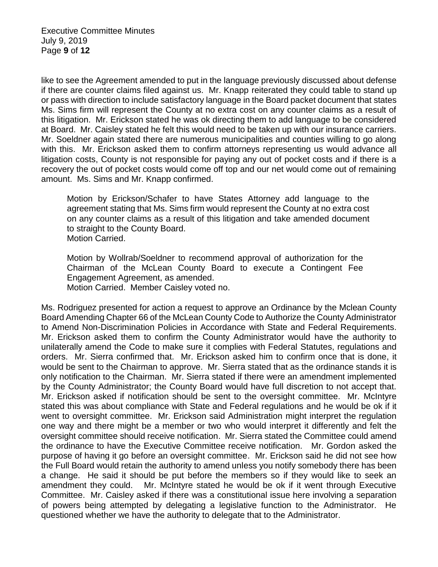Executive Committee Minutes July 9, 2019 Page **9** of **12**

like to see the Agreement amended to put in the language previously discussed about defense if there are counter claims filed against us. Mr. Knapp reiterated they could table to stand up or pass with direction to include satisfactory language in the Board packet document that states Ms. Sims firm will represent the County at no extra cost on any counter claims as a result of this litigation. Mr. Erickson stated he was ok directing them to add language to be considered at Board. Mr. Caisley stated he felt this would need to be taken up with our insurance carriers. Mr. Soeldner again stated there are numerous municipalities and counties willing to go along with this. Mr. Erickson asked them to confirm attorneys representing us would advance all litigation costs, County is not responsible for paying any out of pocket costs and if there is a recovery the out of pocket costs would come off top and our net would come out of remaining amount. Ms. Sims and Mr. Knapp confirmed.

Motion by Erickson/Schafer to have States Attorney add language to the agreement stating that Ms. Sims firm would represent the County at no extra cost on any counter claims as a result of this litigation and take amended document to straight to the County Board. Motion Carried.

Motion by Wollrab/Soeldner to recommend approval of authorization for the Chairman of the McLean County Board to execute a Contingent Fee Engagement Agreement, as amended. Motion Carried. Member Caisley voted no.

Ms. Rodriguez presented for action a request to approve an Ordinance by the Mclean County Board Amending Chapter 66 of the McLean County Code to Authorize the County Administrator to Amend Non-Discrimination Policies in Accordance with State and Federal Requirements. Mr. Erickson asked them to confirm the County Administrator would have the authority to unilaterally amend the Code to make sure it complies with Federal Statutes, regulations and orders. Mr. Sierra confirmed that. Mr. Erickson asked him to confirm once that is done, it would be sent to the Chairman to approve. Mr. Sierra stated that as the ordinance stands it is only notification to the Chairman. Mr. Sierra stated if there were an amendment implemented by the County Administrator; the County Board would have full discretion to not accept that. Mr. Erickson asked if notification should be sent to the oversight committee. Mr. McIntyre stated this was about compliance with State and Federal regulations and he would be ok if it went to oversight committee. Mr. Erickson said Administration might interpret the regulation one way and there might be a member or two who would interpret it differently and felt the oversight committee should receive notification. Mr. Sierra stated the Committee could amend the ordinance to have the Executive Committee receive notification. Mr. Gordon asked the purpose of having it go before an oversight committee. Mr. Erickson said he did not see how the Full Board would retain the authority to amend unless you notify somebody there has been a change. He said it should be put before the members so if they would like to seek an amendment they could. Mr. McIntyre stated he would be ok if it went through Executive Committee. Mr. Caisley asked if there was a constitutional issue here involving a separation of powers being attempted by delegating a legislative function to the Administrator. He questioned whether we have the authority to delegate that to the Administrator.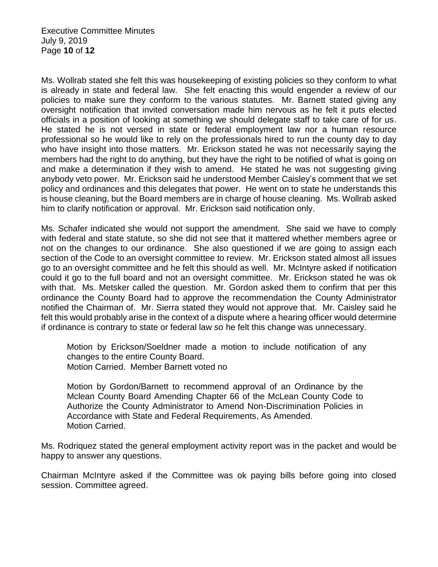Ms. Wollrab stated she felt this was housekeeping of existing policies so they conform to what is already in state and federal law. She felt enacting this would engender a review of our policies to make sure they conform to the various statutes. Mr. Barnett stated giving any oversight notification that invited conversation made him nervous as he felt it puts elected officials in a position of looking at something we should delegate staff to take care of for us. He stated he is not versed in state or federal employment law nor a human resource professional so he would like to rely on the professionals hired to run the county day to day who have insight into those matters. Mr. Erickson stated he was not necessarily saying the members had the right to do anything, but they have the right to be notified of what is going on and make a determination if they wish to amend. He stated he was not suggesting giving anybody veto power. Mr. Erickson said he understood Member Caisley's comment that we set policy and ordinances and this delegates that power. He went on to state he understands this is house cleaning, but the Board members are in charge of house cleaning. Ms. Wollrab asked him to clarify notification or approval. Mr. Erickson said notification only.

Ms. Schafer indicated she would not support the amendment. She said we have to comply with federal and state statute, so she did not see that it mattered whether members agree or not on the changes to our ordinance. She also questioned if we are going to assign each section of the Code to an oversight committee to review. Mr. Erickson stated almost all issues go to an oversight committee and he felt this should as well. Mr. McIntyre asked if notification could it go to the full board and not an oversight committee. Mr. Erickson stated he was ok with that. Ms. Metsker called the question. Mr. Gordon asked them to confirm that per this ordinance the County Board had to approve the recommendation the County Administrator notified the Chairman of. Mr. Sierra stated they would not approve that. Mr. Caisley said he felt this would probably arise in the context of a dispute where a hearing officer would determine if ordinance is contrary to state or federal law so he felt this change was unnecessary.

Motion by Erickson/Soeldner made a motion to include notification of any changes to the entire County Board. Motion Carried. Member Barnett voted no

Motion by Gordon/Barnett to recommend approval of an Ordinance by the Mclean County Board Amending Chapter 66 of the McLean County Code to Authorize the County Administrator to Amend Non-Discrimination Policies in Accordance with State and Federal Requirements, As Amended. Motion Carried.

Ms. Rodriquez stated the general employment activity report was in the packet and would be happy to answer any questions.

Chairman McIntyre asked if the Committee was ok paying bills before going into closed session. Committee agreed.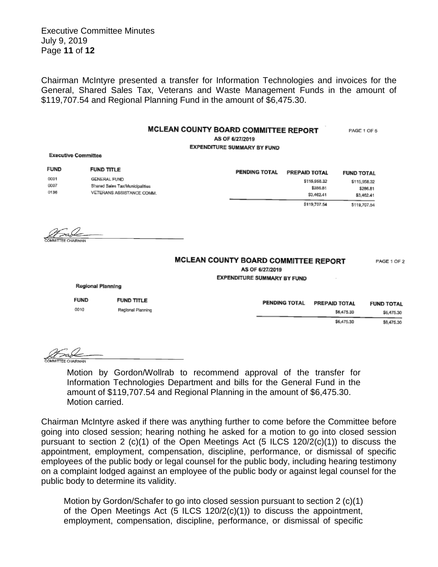Executive Committee Minutes July 9, 2019 Page **11** of **12**

Chairman McIntyre presented a transfer for Information Technologies and invoices for the General, Shared Sales Tax, Veterans and Waste Management Funds in the amount of \$119,707.54 and Regional Planning Fund in the amount of \$6,475.30.

## MCLEAN COUNTY BOARD COMMITTEE REPORT

PAGE 1 OF 5

AS OF 6/27/2019

**EXPENDITURE SUMMARY BY FUND** 

**Executive Committee** 

| FUND                                                                                                        | <b>FUND TITLE</b> | <b>PENDING TOTAL</b> | PREPAID TOTAL | <b>FUND TOTAL</b> |
|-------------------------------------------------------------------------------------------------------------|-------------------|----------------------|---------------|-------------------|
| OOD1<br><b>GENERAL FUND</b><br>0007<br>Shared Sales Tax/Municipalities<br>0136<br>VETERANS ASSISTANCE COMM. |                   |                      | \$115,958.32  | \$115,958.32      |
|                                                                                                             |                   |                      | \$286.81      | \$286.81          |
|                                                                                                             |                   |                      | \$3,462,41    | \$3,462.41        |
|                                                                                                             |                   |                      | \$119,707.54  | \$119,707.54      |

## MCLEAN COUNTY BOARD COMMITTEE REPORT

PAGE 1 OF 2

AS OF 6/27/2019

**EXPENDITURE SUMMARY BY FUND** 

| <b>FUND</b> | <b>FUND TITLE</b> | <b>PENDING TOTAL</b> | <b>PREPAID TOTAL</b> | <b>FUND TOTAL</b> |
|-------------|-------------------|----------------------|----------------------|-------------------|
| 0010        | Regional Planning |                      | \$6,475.30           | \$6,475.30        |
|             |                   |                      | \$6,475.30           | \$6,475.30        |

Regional Planning

Motion by Gordon/Wollrab to recommend approval of the transfer for Information Technologies Department and bills for the General Fund in the amount of \$119,707.54 and Regional Planning in the amount of \$6,475.30. Motion carried.

Chairman McIntyre asked if there was anything further to come before the Committee before going into closed session; hearing nothing he asked for a motion to go into closed session pursuant to section 2 (c)(1) of the Open Meetings Act (5 ILCS 120/2(c)(1)) to discuss the appointment, employment, compensation, discipline, performance, or dismissal of specific employees of the public body or legal counsel for the public body, including hearing testimony on a complaint lodged against an employee of the public body or against legal counsel for the public body to determine its validity.

Motion by Gordon/Schafer to go into closed session pursuant to section 2 (c)(1) of the Open Meetings Act (5 ILCS 120/2(c)(1)) to discuss the appointment, employment, compensation, discipline, performance, or dismissal of specific